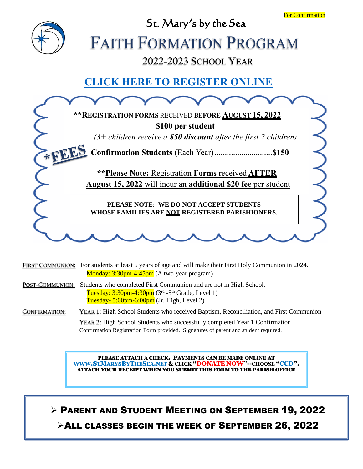

|                      | FIRST COMMUNION: For students at least 6 years of age and will make their First Holy Communion in 2024.<br>Monday: 3:30pm-4:45pm (A two-year program)                                         |
|----------------------|-----------------------------------------------------------------------------------------------------------------------------------------------------------------------------------------------|
| POST-COMMUNION:      | Students who completed First Communion and are not in High School.<br>Tuesday: $3:30$ pm-4:30pm ( $3rd$ -5 <sup>th</sup> Grade, Level 1)<br>Tuesday- $5:00$ pm- $6:00$ pm (Jr. High, Level 2) |
| <b>CONFIRMATION:</b> | YEAR 1: High School Students who received Baptism, Reconciliation, and First Communion                                                                                                        |
|                      | YEAR 2: High School Students who successfully completed Year 1 Confirmation<br>Confirmation Registration Form provided. Signatures of parent and student required.                            |

PLEASE ATTACH A CHECK. PAYMENTS CAN BE MADE ONLINE AT [WWW](http://www.stmarysbythesea.net/).STMARYSBYTHESEA.NET & CLICK "DONATE NOW"--CHOOSE "CCD". ATTACH YOUR RECEIPT WHEN YOU SUBMIT THIS FORM TO THE PARISH OFFICE

➢ PARENT AND STUDENT MEETING ON SEPTEMBER 19, 2022 ➢ALL CLASSES BEGIN THE WEEK OF SEPTEMBER 26, 2022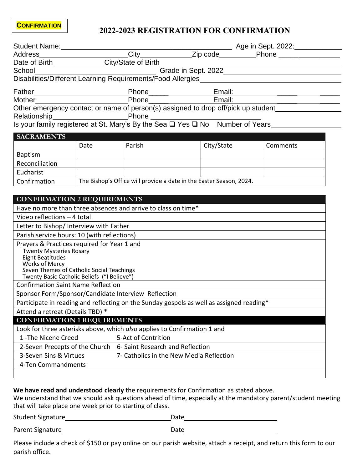## **2022-2023 REGISTRATION FOR CONFIRMATION**

|                                                                                          |                                                                     |        | School<br>Disabilities/Different Learning Requirements/Food Allergies<br>Disabilities/Different Learning Requirements/Food Allergies |          |  |  |  |
|------------------------------------------------------------------------------------------|---------------------------------------------------------------------|--------|--------------------------------------------------------------------------------------------------------------------------------------|----------|--|--|--|
|                                                                                          |                                                                     |        |                                                                                                                                      |          |  |  |  |
|                                                                                          |                                                                     |        |                                                                                                                                      |          |  |  |  |
|                                                                                          |                                                                     |        | Phone Email: Email:                                                                                                                  |          |  |  |  |
|                                                                                          |                                                                     |        | Other emergency contact or name of person(s) assigned to drop off/pick up student__________________                                  |          |  |  |  |
|                                                                                          |                                                                     |        |                                                                                                                                      |          |  |  |  |
|                                                                                          |                                                                     |        |                                                                                                                                      |          |  |  |  |
| <b>SACRAMENTS</b>                                                                        |                                                                     |        |                                                                                                                                      |          |  |  |  |
|                                                                                          | Date                                                                | Parish | City/State                                                                                                                           | Comments |  |  |  |
| Baptism                                                                                  |                                                                     |        |                                                                                                                                      |          |  |  |  |
| Reconciliation                                                                           |                                                                     |        |                                                                                                                                      |          |  |  |  |
| Eucharist                                                                                |                                                                     |        |                                                                                                                                      |          |  |  |  |
| Confirmation                                                                             | The Bishop's Office will provide a date in the Easter Season, 2024. |        |                                                                                                                                      |          |  |  |  |
|                                                                                          |                                                                     |        |                                                                                                                                      |          |  |  |  |
| <b>CONFIRMATION 2 REQUIREMENTS</b>                                                       |                                                                     |        |                                                                                                                                      |          |  |  |  |
| Have no more than three absences and arrive to class on time*                            |                                                                     |        |                                                                                                                                      |          |  |  |  |
| Video reflections - 4 total                                                              |                                                                     |        |                                                                                                                                      |          |  |  |  |
| Letter to Bishop/ Interview with Father                                                  |                                                                     |        |                                                                                                                                      |          |  |  |  |
| Parish service hours: 10 (with reflections)                                              |                                                                     |        |                                                                                                                                      |          |  |  |  |
| Prayers & Practices required for Year 1 and                                              |                                                                     |        |                                                                                                                                      |          |  |  |  |
| <b>Twenty Mysteries Rosary</b>                                                           |                                                                     |        |                                                                                                                                      |          |  |  |  |
| <b>Eight Beatitudes</b>                                                                  |                                                                     |        |                                                                                                                                      |          |  |  |  |
| <b>Works of Mercy</b><br>Seven Themes of Catholic Social Teachings                       |                                                                     |        |                                                                                                                                      |          |  |  |  |
| Twenty Basic Catholic Beliefs ("I Believe")                                              |                                                                     |        |                                                                                                                                      |          |  |  |  |
| <b>Confirmation Saint Name Reflection</b>                                                |                                                                     |        |                                                                                                                                      |          |  |  |  |
| Sponsor Form/Sponsor/Candidate Interview Reflection                                      |                                                                     |        |                                                                                                                                      |          |  |  |  |
| Participate in reading and reflecting on the Sunday gospels as well as assigned reading* |                                                                     |        |                                                                                                                                      |          |  |  |  |
| Attend a retreat (Details TBD) *                                                         |                                                                     |        |                                                                                                                                      |          |  |  |  |
| <b>CONFIRMATION 1 REQUIREMENTS</b>                                                       |                                                                     |        |                                                                                                                                      |          |  |  |  |
| Look for three asterisks above, which also applies to Confirmation 1 and                 |                                                                     |        |                                                                                                                                      |          |  |  |  |
| 1-The Nicene Creed<br>5-Act of Contrition                                                |                                                                     |        |                                                                                                                                      |          |  |  |  |
| 2-Seven Precepts of the Church 6- Saint Research and Reflection                          |                                                                     |        |                                                                                                                                      |          |  |  |  |
| 3-Seven Sins & Virtues<br>7- Catholics in the New Media Reflection                       |                                                                     |        |                                                                                                                                      |          |  |  |  |
| 4-Ten Commandments                                                                       |                                                                     |        |                                                                                                                                      |          |  |  |  |
|                                                                                          |                                                                     |        |                                                                                                                                      |          |  |  |  |
|                                                                                          |                                                                     |        |                                                                                                                                      |          |  |  |  |

## **We have read and understood clearly** the requirements for Confirmation as stated above.

We understand that we should ask questions ahead of time, especially at the mandatory parent/student meeting that will take place one week prior to starting of class.

Student Signature Date

Parent Signature Date

Please include a check of \$150 or pay online on our parish website, attach a receipt, and return this form to our parish office.